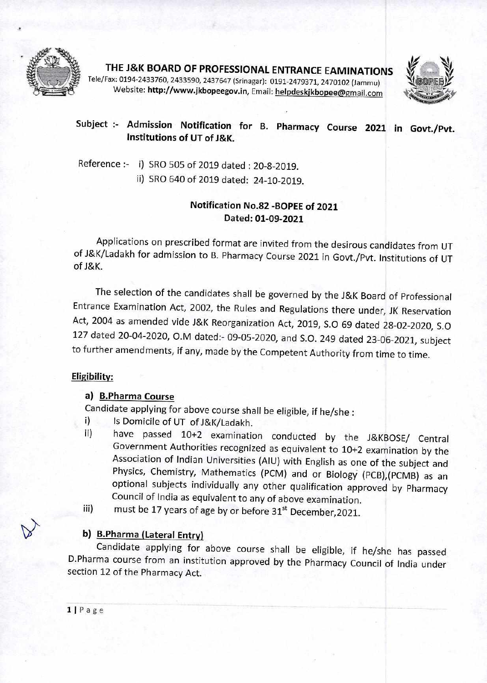

**THE J&K BOARD OF PROFESSIONAL ENTRANCE EAMINATIONS** 

Tele/Fax: 0194-2433760, 2433590, 2437647 (Srinagar): 0191-2479371, 2470102 (Jammu) **Website: http://www.jkbopeegov.in, Email: helpdeskjkbopee@gmail.com** 



# **Subject :- Admission Notification for B. Pharmacy Course 2021 in Govt./Pvt. Institutions of UT of J&K.**

Reference :- i) SRO 505 of 2019 dated : 20-8-2019. ii) SRO 640 of 2019 dated: 24-10-2019.

## **Notification No.82 -BOPEE of 2021 Dated: 01-09-2021**

Applications on prescribed format are invited from the desirous candidates from UT of J&K/Ladakh for admission to B. Pharmacy Course 2021 in Govt./Pvt. Institutions of UT of J&K.

The selection of the candidates shall be governed by the J&K Board of Professional Entrance Examination Act, 2002, the Rules and Regulations there under, JK Reservation Act, 2004 as amended vide J&K Reorganization Act, 2019, S.O 69 dated 28-02-2020, S.0 127 dated 20-04-2020, 0.M dated:- 09-05-2020, and S.O. 249 dated 23-06-2021, subject to further amendments, if any, made by the Competent Authority from time to time.

#### **Eligibility:**

#### **a) B.Pharma Course**

Candidate applying for above course shall be eligible, if he/she :

- i) Is Domicile of UT of J&K/Ladakh.
- ii) have passed 10+2 examination conducted by the J&KBOSE/ Central Government Authorities recognized as equivalent to 10+2 examination by the Association of Indian Universities (AIU) with English as one of the subject and Physics, Chemistry, Mathematics (PCM) and or Biology (PCB),(PCMB) as an optional subjects individually any other qualification approved by Pharmacy Council of India as equivalent to any of above examination.
- iii) must be 17 years of age by or before  $31^{st}$  December, 2021.

## **6)\ b) B.Pharma (Lateral Entry)**

Candidate applying for above course shall be eligible, if he/she has passed D.Pharma course from an institution approved by the Pharmacy Council of India under section 12 of the Pharmacy Act.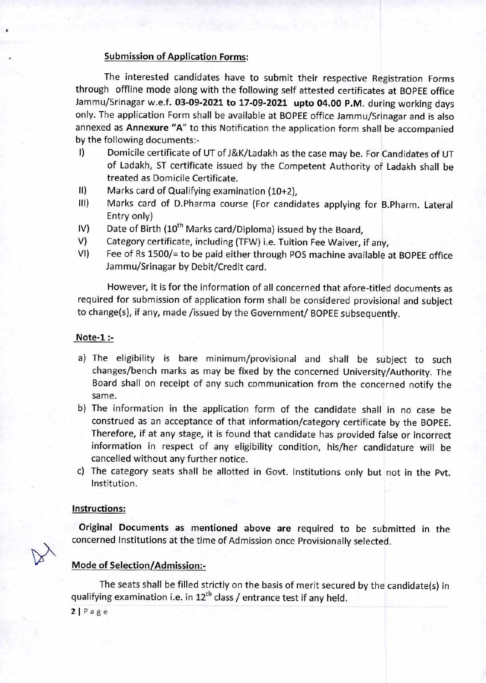#### Submission of Application Forms:

The interested candidates have to submit their respective Registration Forms through offline mode along with the following self attested certificates at BOPEE office Jammu/Srinagar w.e.f. **03-09-2021 to 17-09-2021 upto 04.00 P.M.** during working days only. The application Form shall be available at BOPEE office Jammu/Srinagar and is also annexed as **Annexure "A"** to this Notification the application form shall be accompanied by the following documents:-

- I) Domicile certificate of UT of J&K/Ladakh as the case may be. For Candidates of UT of Ladakh, ST certificate issued by the Competent Authority of Ladakh shall be treated as Domicile Certificate.
- II) Marks card of Qualifying examination (10+2),
- 111) Marks card of D.Pharma course (For candidates applying for B.Pharm. Lateral Entry only)
- IV) Date of Birth  $(10^{th}$  Marks card/Diploma) issued by the Board,
- V) Category certificate, including (TFW) i.e. Tuition Fee Waiver, if any,
- VI) Fee of Rs 1500/= to be paid either through POS machine available at BOPEE office Jammu/Srinagar by Debit/Credit card.

However, it is for the information of all concerned that afore-titled documents as required for submission of application form shall be considered provisional and subject to change(s), if any, made /issued by the Government/ BOPEE subsequently.

#### **Note-1 :-**

- a) The eligibility is bare minimum/provisional and shall be subject to such changes/bench marks as may be fixed by the concerned University/Authority. The Board shall on receipt of any such communication from the concerned notify the same.
- b) The information in the application form of the candidate shall in no case be construed as an acceptance of that information/category certificate by the BOPEE. Therefore, if at any stage, it is found that candidate has provided false or incorrect information in respect of any eligibility condition, his/her candidature will be cancelled without any further notice.
- c) The category seats shall be allotted in Govt. Institutions only but not in the Pvt. Institution.

#### **Instructions:**

**Original Documents as mentioned above are** required to be submitted in the concerned Institutions at the time of Admission once Provisionally selected.

#### **Mode of Selection/Admission:-**

**The** seats shall be filled strictly on the basis of merit secured by the candidate(s) in qualifying examination i.e. in  $12^{th}$  class / entrance test if any held.

 $2|Page$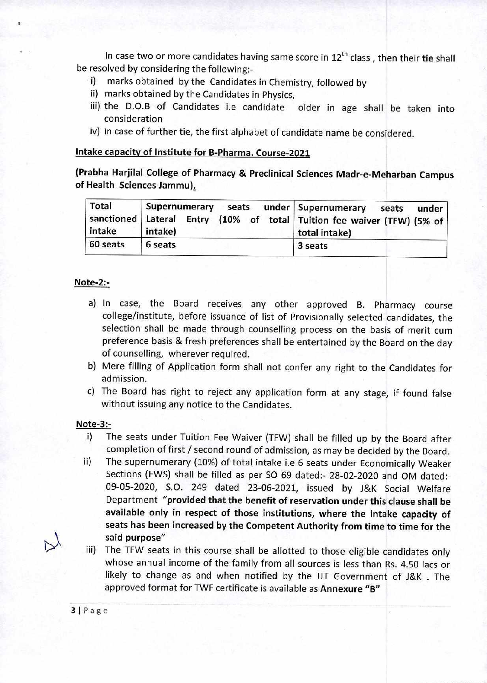In case two or more candidates having same score in 12<sup>th</sup> class, then their tie shall be resolved by considering the following:-

- i) marks obtained by the Candidates in Chemistry, followed by
- ii) marks obtained by the Candidates in Physics,
- iii) the D.O.B of Candidates i.e candidate older in age shall be taken into consideration
- iv) in case of further tie, the first alphabet of candidate name be considered.

#### **Intake capacity of Institute for B-Pharma. Course-2021**

**{Prabha Harjilal College of Pharmacy & Preclinical Sciences Madr-e-Meharban Campus of Health Sciences Jammu),** 

| Total<br>intake | Supernumerary<br>seats<br>intake) | under   Supernumerary<br>under<br>seats<br>sanctioned Lateral Entry (10% of total Tuition fee waiver (TFW) (5% of<br>total intake) |
|-----------------|-----------------------------------|------------------------------------------------------------------------------------------------------------------------------------|
| 60 seats        | 6 seats                           | 3 seats                                                                                                                            |

### Note-2:-

- a) In case, the Board receives any other approved B. Pharmacy course college/institute, before issuance of list of Provisionally selected candidates, the selection shall be made through counselling process on the basis of merit cum preference basis & fresh preferences shall be entertained by the Board on the day of counselling, wherever required.
- b) Mere filling of Application form shall not confer any right to the Candidates for admission.
- c) The Board has right to reject any application form at any stage, if found false without issuing any notice to the Candidates.

#### **Note-3:-**

- i) The seats under Tuition Fee Waiver (TFW) shall be filled up by the Board after completion of first / second round of admission, as may be decided by the Board.
- ii) The supernumerary (10%) of total intake i.e 6 seats under Economically Weaker Sections (EWS) shall be filled as per SO 69 dated:- 28-02-2020 and OM dated:- 09-05-2020, S.O. 249 dated 23-06-2021, issued by J&K Social Welfare Department **"provided that the benefit of reservation under this clause shall be available only in respect of those institutions, where the intake capacity of seats has been increased by the Competent Authority from time to time for the said purpose"**
- iii) The TFW seats in this course shall be allotted to those eligible candidates only whose annual income of the family from all sources is less than Rs. 4.50 lacs or likely to change as and when notified by the UT Government of J&K . The approved format for TWF certificate is available as **Annexure "B"**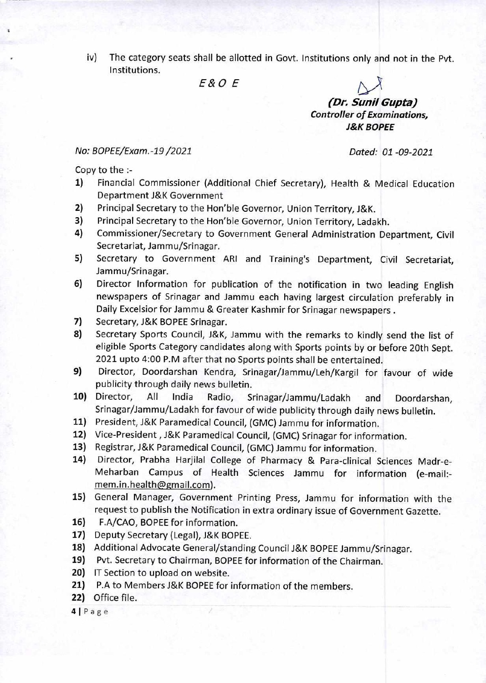iv) The category seats shall be allotted in Govt. Institutions only and not in the Pvt. Institutions.

E&O E

**(Dr. Sunil Gupta) Controller of Examinations, J&K BOPEE** 

#### No: BOPEE/Exam.-19 /2021 Dated: 01 -09-2021

Copy to the :-

- 1) Financial Commissioner (Additional Chief Secretary), Health & Medical Education Department J&K Government
- 2) Principal Secretary to the Hon'ble Governor, Union Territory, J&K.
- 3) Principal Secretary to the Hon'ble Governor, Union Territory, Ladakh.
- 4) Commissioner/Secretary to Government General Administration Department, Civil Secretariat, Jammu/Srinagar.
- 5) Secretary to Government ARI and Training's Department, Civil Secretariat, Jammu/Srinagar.
- 6) Director Information for publication of the notification in two leading English newspapers of Srinagar and Jammu each having largest circulation preferably in Daily Excelsior for Jammu & Greater Kashmir for Srinagar newspapers .
- 7) Secretary, J&K BOPEE Srinagar.
- 8) Secretary Sports Council, J&K, Jammu with the remarks to kindly send the list of eligible Sports Category candidates along with Sports points by or before 20th Sept. 2021 upto 4:00 P.M after that no Sports points shall be entertained.
- 9) Director, Doordarshan Kendra, Srinagar/Jammu/Leh/Kargil for favour of wide publicity through daily news bulletin.
- 10) Director, All India Radio, Srinagar/Jammu/Ladakh and Doordarshan, Srinagar/Jammu/Ladakh for favour of wide publicity through daily news bulletin.
- 11) President, J&K Paramedical Council, (GMC) Jammu for information.
- 12) Vice-President , J&K Paramedical Council, (GMC) Srinagar for information.
- 13) Registrar, J&K Paramedical Council, (GMC) Jammu for information.
- 14) Director, Prabha Harjilal College of Pharmacy & Para-clinical Sciences Madr-e-Meharban Campus of Health Sciences Jammu for information (e-mail: mem.in.health@gmail.com).
- 15) General Manager, Government Printing Press, Jammu for information with the request to publish the Notification in extra ordinary issue of Government Gazette.
- 16) F.A/CAO, BOPEE for information.
- 17) Deputy Secretary (Legal), J&K BOPEE.
- 18) Additional Advocate General/standing Council J&K BOPEE Jammu/Srinagar.
- 19) Pvt. Secretary to Chairman, BOPEE for information of the Chairman.
- 20) IT Section to upload on website.
- 21) P.A to Members J&K BOPEE for information of the members.
- 22) Office file.

 $4|Page$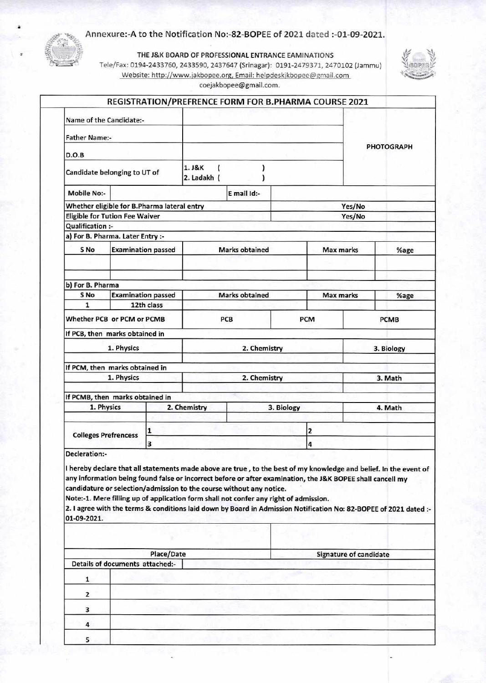#### Annexure:-A to the Notification No:-82-BOPEE of 2021 dated :-01-09-2021.

THE J&K BOARD OF PROFESSIONAL ENTRANCE EAMINATIONS

Tele/Fax: 0194-2433760, 2433590, 2437647 (Srinagar): 0191-2479371, 2470102 (Jammu) Website: http://www.jakbopee.org, Email: helpdeskjkbopee@gmail.com



|                                             |  |                                 |                            |                                                                                                                                                               | REGISTRATION/PREFRENCE FORM FOR B.PHARMA COURSE 2021                                                                                                                                                                                                                                                                                                 |                               |                   |
|---------------------------------------------|--|---------------------------------|----------------------------|---------------------------------------------------------------------------------------------------------------------------------------------------------------|------------------------------------------------------------------------------------------------------------------------------------------------------------------------------------------------------------------------------------------------------------------------------------------------------------------------------------------------------|-------------------------------|-------------------|
| Name of the Candidate:-                     |  |                                 |                            |                                                                                                                                                               |                                                                                                                                                                                                                                                                                                                                                      |                               |                   |
| <b>Father Name:-</b>                        |  |                                 |                            |                                                                                                                                                               |                                                                                                                                                                                                                                                                                                                                                      |                               |                   |
| D.O.B                                       |  |                                 |                            |                                                                                                                                                               |                                                                                                                                                                                                                                                                                                                                                      |                               | <b>PHOTOGRAPH</b> |
| Candidate belonging to UT of                |  |                                 | 1. J&K<br>2. Ladakh (      |                                                                                                                                                               |                                                                                                                                                                                                                                                                                                                                                      |                               |                   |
| <b>Mobile No:-</b>                          |  |                                 |                            | E mail Id:-                                                                                                                                                   |                                                                                                                                                                                                                                                                                                                                                      |                               |                   |
| Whether eligible for B.Pharma lateral entry |  |                                 |                            |                                                                                                                                                               |                                                                                                                                                                                                                                                                                                                                                      | Yes/No                        |                   |
| <b>Eligible for Tution Fee Waiver</b>       |  |                                 |                            |                                                                                                                                                               |                                                                                                                                                                                                                                                                                                                                                      | Yes/No                        |                   |
| Qualification :-                            |  |                                 |                            |                                                                                                                                                               |                                                                                                                                                                                                                                                                                                                                                      |                               |                   |
| a) For B. Pharma. Later Entry :-            |  |                                 |                            |                                                                                                                                                               |                                                                                                                                                                                                                                                                                                                                                      |                               |                   |
| S No                                        |  | <b>Examination passed</b>       |                            | <b>Marks obtained</b>                                                                                                                                         |                                                                                                                                                                                                                                                                                                                                                      | Max marks                     | %age              |
|                                             |  |                                 |                            |                                                                                                                                                               |                                                                                                                                                                                                                                                                                                                                                      |                               |                   |
| b) For B. Pharma                            |  |                                 |                            |                                                                                                                                                               |                                                                                                                                                                                                                                                                                                                                                      |                               |                   |
| S No                                        |  | <b>Examination passed</b>       | <b>Marks obtained</b>      |                                                                                                                                                               |                                                                                                                                                                                                                                                                                                                                                      | Max marks                     | %age              |
| $\mathbf{1}$                                |  |                                 |                            |                                                                                                                                                               |                                                                                                                                                                                                                                                                                                                                                      |                               |                   |
| 12th class                                  |  |                                 |                            |                                                                                                                                                               |                                                                                                                                                                                                                                                                                                                                                      |                               |                   |
| Whether PCB or PCM or PCMB                  |  | PCB                             |                            | <b>PCM</b>                                                                                                                                                    |                                                                                                                                                                                                                                                                                                                                                      | <b>PCMB</b>                   |                   |
| If PCB, then marks obtained in              |  |                                 |                            |                                                                                                                                                               |                                                                                                                                                                                                                                                                                                                                                      |                               |                   |
| 1. Physics                                  |  | 2. Chemistry                    |                            |                                                                                                                                                               | 3. Biology                                                                                                                                                                                                                                                                                                                                           |                               |                   |
|                                             |  |                                 |                            |                                                                                                                                                               |                                                                                                                                                                                                                                                                                                                                                      |                               |                   |
| If PCM, then marks obtained in              |  |                                 |                            |                                                                                                                                                               |                                                                                                                                                                                                                                                                                                                                                      |                               |                   |
| 1. Physics                                  |  | 2. Chemistry                    |                            |                                                                                                                                                               | 3. Math                                                                                                                                                                                                                                                                                                                                              |                               |                   |
| If PCMB, then marks obtained in             |  |                                 |                            |                                                                                                                                                               |                                                                                                                                                                                                                                                                                                                                                      |                               |                   |
| 1. Physics                                  |  |                                 | 2. Chemistry<br>3. Biology |                                                                                                                                                               |                                                                                                                                                                                                                                                                                                                                                      | 4. Math                       |                   |
|                                             |  |                                 |                            |                                                                                                                                                               |                                                                                                                                                                                                                                                                                                                                                      |                               |                   |
| <b>Colleges Prefrencess</b>                 |  | 1                               |                            |                                                                                                                                                               | 2                                                                                                                                                                                                                                                                                                                                                    |                               |                   |
|                                             |  | 3                               |                            |                                                                                                                                                               |                                                                                                                                                                                                                                                                                                                                                      | 4                             |                   |
| <b>Decleration:-</b>                        |  |                                 |                            |                                                                                                                                                               |                                                                                                                                                                                                                                                                                                                                                      |                               |                   |
| 01-09-2021.                                 |  |                                 |                            | candidature or selection/admission to the course without any notice.<br>Note:-1. Mere filling up of application form shall not confer any right of admission. | I hereby declare that all statements made above are true, to the best of my knowledge and belief. In the event of<br>any information being found false or incorrect before or after examination, the J&K BOPEE shall cancell my<br>2. I agree with the terms & conditions laid down by Board in Admission Notification No: 82-BOPEE of 2021 dated :- |                               |                   |
|                                             |  |                                 |                            |                                                                                                                                                               |                                                                                                                                                                                                                                                                                                                                                      |                               |                   |
|                                             |  | Place/Date                      |                            |                                                                                                                                                               |                                                                                                                                                                                                                                                                                                                                                      | <b>Signature of candidate</b> |                   |
|                                             |  | Details of documents attached:- |                            |                                                                                                                                                               |                                                                                                                                                                                                                                                                                                                                                      |                               |                   |